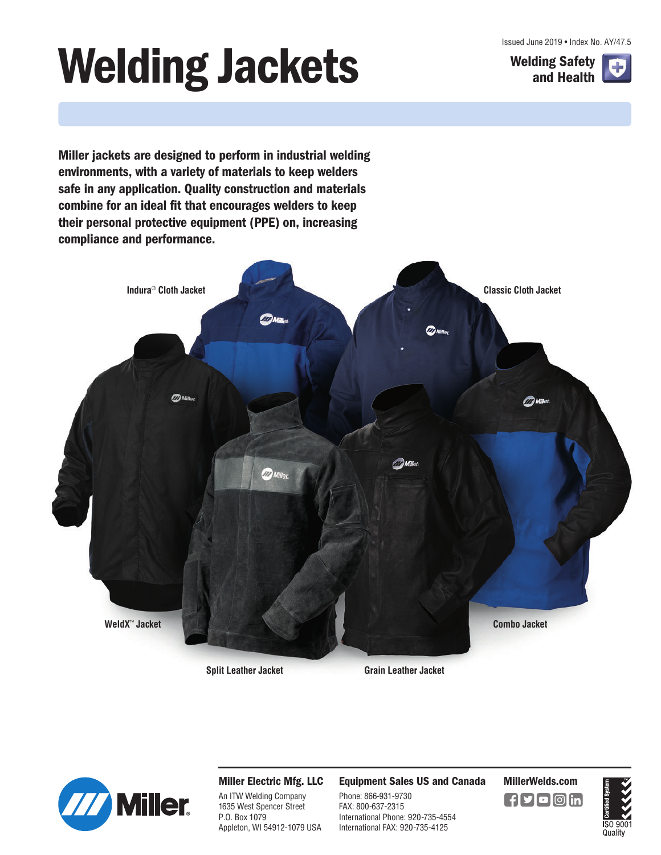Issued June 2019 • Index No. AY/47.5

# **Welding Jackets** Welding Safety



**Miller jackets are designed to perform in industrial welding environments, with a variety of materials to keep welders safe in any application. Quality construction and materials combine for an ideal fit that encourages welders to keep their personal protective equipment (PPE) on, increasing compliance and performance.**





**Miller Electric Mfg. LLC**

An ITW Welding Company 1635 West Spencer Street P.O. Box 1079 Appleton, WI 54912-1079 USA **Equipment Sales US and Canada MillerWelds.com**

Phone: 866-931-9730 FAX: 800-637-2315 International Phone: 920-735-4554 International FAX: 920-735-4125

 $\mathbf{H}$ yo $\textcircled{a}$ in

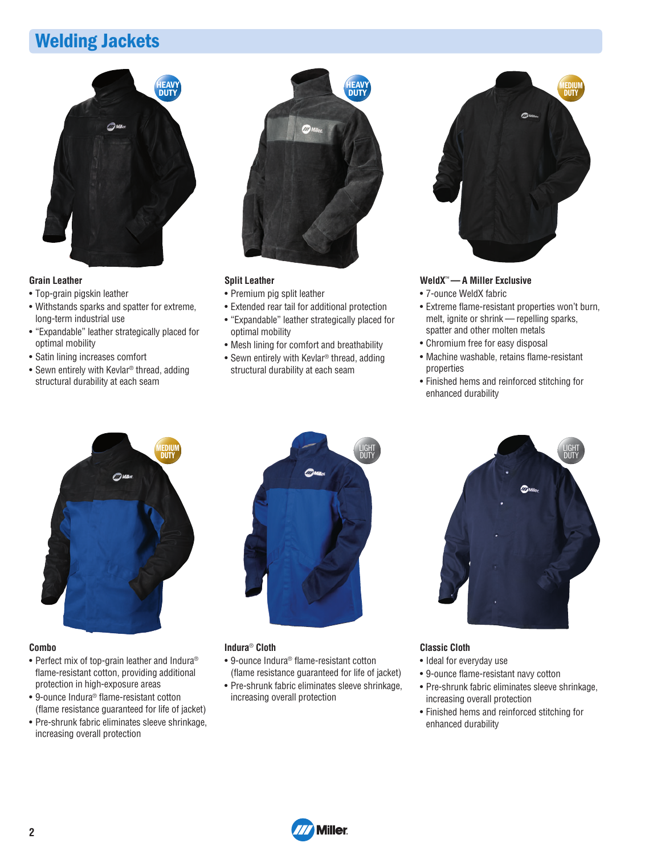### **Welding Jackets**



#### **Grain Leather**

- Top-grain pigskin leather
- Withstands sparks and spatter for extreme, long-term industrial use
- "Expandable" leather strategically placed for optimal mobility
- Satin lining increases comfort
- Sewn entirely with Kevlar® thread, adding structural durability at each seam



#### **Split Leather**

- Premium pig split leather
- Extended rear tail for additional protection
- "Expandable" leather strategically placed for optimal mobility
- Mesh lining for comfort and breathability
- Sewn entirely with Kevlar® thread, adding structural durability at each seam



#### **WeldX**™**— A Miller Exclusive**

- 7-ounce WeldX fabric
- Extreme flame-resistant properties won't burn, melt, ignite or shrink — repelling sparks, spatter and other molten metals
- Chromium free for easy disposal
- Machine washable, retains flame-resistant properties
- Finished hems and reinforced stitching for enhanced durability



#### **Combo**

- Perfect mix of top-grain leather and Indura® flame-resistant cotton, providing additional protection in high-exposure areas
- 9-ounce Indura® flame-resistant cotton (flame resistance guaranteed for life of jacket)
- Pre-shrunk fabric eliminates sleeve shrinkage, increasing overall protection



#### **Indura**® **Cloth**

- 9-ounce Indura® flame-resistant cotton (flame resistance guaranteed for life of jacket)
- Pre-shrunk fabric eliminates sleeve shrinkage, increasing overall protection



#### **Classic Cloth**

- Ideal for everyday use
- 9-ounce flame-resistant navy cotton
- Pre-shrunk fabric eliminates sleeve shrinkage, increasing overall protection
- Finished hems and reinforced stitching for enhanced durability

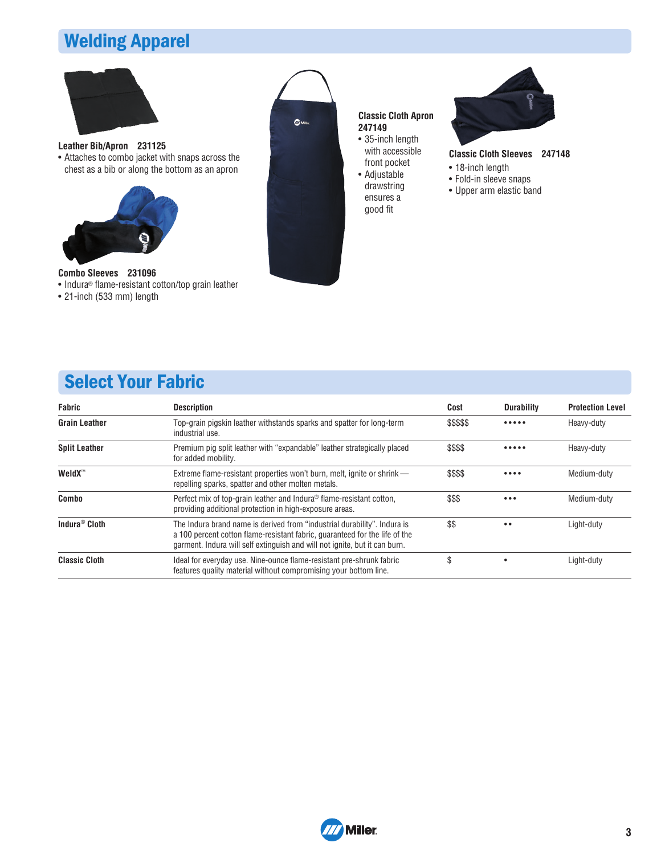## **Welding Apparel**



**Leather Bib/Apron 231125**

• Attaches to combo jacket with snaps across the chest as a bib or along the bottom as an apron



#### **Combo Sleeves 231096**

- Indura® flame-resistant cotton/top grain leather
- 21-inch (533 mm) length



**Classic Cloth Apron 247149**

- 35-inch length with accessible front pocket • Adjustable
- drawstring ensures a good fit



#### **Classic Cloth Sleeves 247148**

- 18-inch length
- Fold-in sleeve snaps
- Upper arm elastic band

## **Select Your Fabric**

| <b>Fabric</b>             | <b>Description</b>                                                                                                                                                                                                                    | Cost       | <b>Durability</b>       | <b>Protection Level</b> |
|---------------------------|---------------------------------------------------------------------------------------------------------------------------------------------------------------------------------------------------------------------------------------|------------|-------------------------|-------------------------|
| <b>Grain Leather</b>      | Top-grain pigskin leather withstands sparks and spatter for long-term<br>industrial use.                                                                                                                                              | \$\$\$\$\$ |                         | Heavy-duty              |
| <b>Split Leather</b>      | Premium pig split leather with "expandable" leather strategically placed<br>for added mobility.                                                                                                                                       | \$\$\$\$   |                         | Heavy-duty              |
| WeldX <sup>™</sup>        | Extreme flame-resistant properties won't burn, melt, ignite or shrink —<br>repelling sparks, spatter and other molten metals.                                                                                                         | \$\$\$\$   |                         | Medium-duty             |
| Combo                     | Perfect mix of top-grain leather and Indura <sup>®</sup> flame-resistant cotton,<br>providing additional protection in high-exposure areas.                                                                                           | \$\$\$     | $\bullet\bullet\bullet$ | Medium-duty             |
| Indura <sup>®</sup> Cloth | The Indura brand name is derived from "industrial durability". Indura is<br>a 100 percent cotton flame-resistant fabric, quaranteed for the life of the<br>garment. Indura will self extinguish and will not ignite, but it can burn. | \$\$       | $\bullet$               | Light-duty              |
| <b>Classic Cloth</b>      | Ideal for everyday use. Nine-ounce flame-resistant pre-shrunk fabric<br>features quality material without compromising your bottom line.                                                                                              | \$         |                         | Light-duty              |